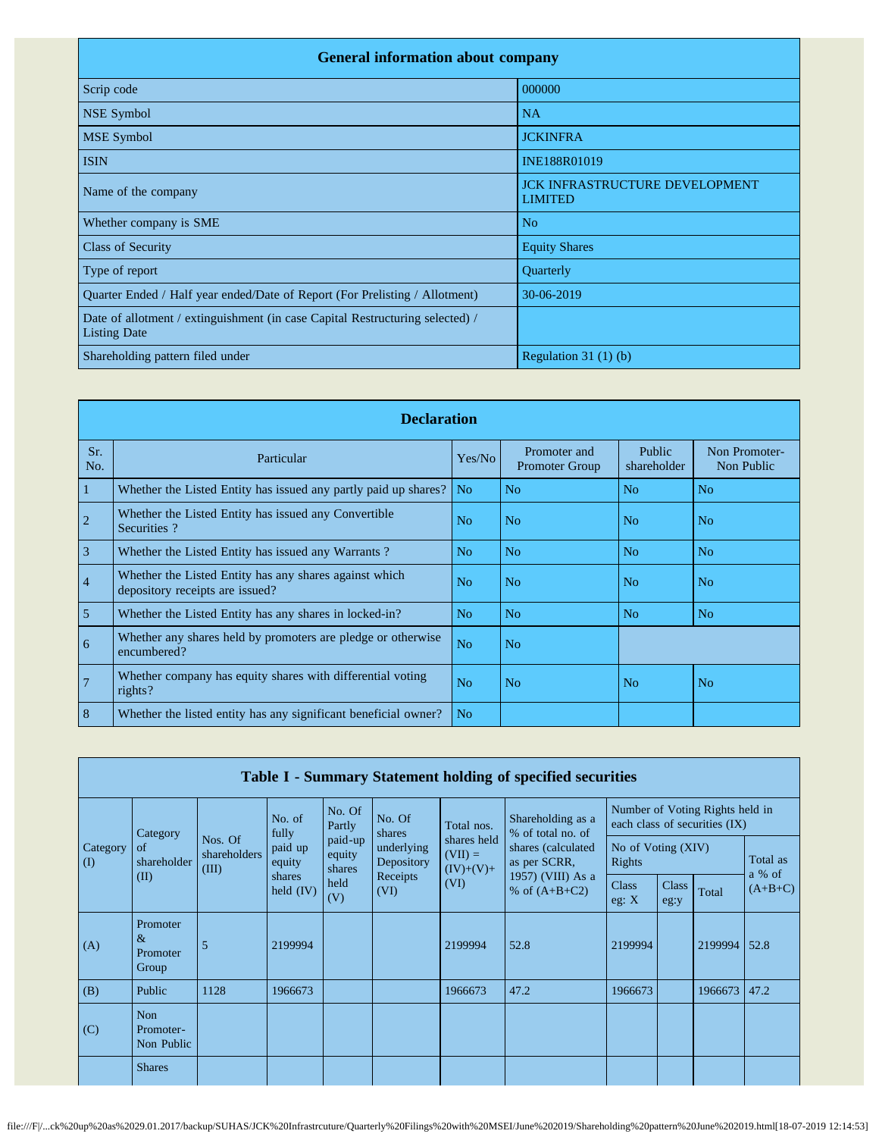| <b>General information about company</b>                                                             |                                                         |  |  |  |  |  |  |
|------------------------------------------------------------------------------------------------------|---------------------------------------------------------|--|--|--|--|--|--|
| Scrip code                                                                                           | 000000                                                  |  |  |  |  |  |  |
| NSE Symbol                                                                                           | <b>NA</b>                                               |  |  |  |  |  |  |
| <b>MSE</b> Symbol                                                                                    | <b>JCKINFRA</b>                                         |  |  |  |  |  |  |
| <b>ISIN</b>                                                                                          | INE188R01019                                            |  |  |  |  |  |  |
| Name of the company                                                                                  | <b>JCK INFRASTRUCTURE DEVELOPMENT</b><br><b>LIMITED</b> |  |  |  |  |  |  |
| Whether company is SME                                                                               | No                                                      |  |  |  |  |  |  |
| <b>Class of Security</b>                                                                             | <b>Equity Shares</b>                                    |  |  |  |  |  |  |
| Type of report                                                                                       | Quarterly                                               |  |  |  |  |  |  |
| Quarter Ended / Half year ended/Date of Report (For Prelisting / Allotment)                          | 30-06-2019                                              |  |  |  |  |  |  |
| Date of allotment / extinguishment (in case Capital Restructuring selected) /<br><b>Listing Date</b> |                                                         |  |  |  |  |  |  |
| Shareholding pattern filed under                                                                     | Regulation $31(1)(b)$                                   |  |  |  |  |  |  |

|                 | <b>Declaration</b>                                                                        |                |                                       |                       |                             |  |  |  |  |  |
|-----------------|-------------------------------------------------------------------------------------------|----------------|---------------------------------------|-----------------------|-----------------------------|--|--|--|--|--|
| Sr.<br>No.      | Particular                                                                                | Yes/No         | Promoter and<br><b>Promoter Group</b> | Public<br>shareholder | Non Promoter-<br>Non Public |  |  |  |  |  |
| $\overline{1}$  | Whether the Listed Entity has issued any partly paid up shares?                           | N <sub>o</sub> | N <sub>o</sub>                        | N <sub>o</sub>        | No                          |  |  |  |  |  |
| $\overline{2}$  | Whether the Listed Entity has issued any Convertible<br>Securities?                       | No             | N <sub>o</sub>                        | N <sub>0</sub>        | No                          |  |  |  |  |  |
| $\overline{3}$  | Whether the Listed Entity has issued any Warrants?                                        | N <sub>o</sub> | N <sub>o</sub>                        | N <sub>o</sub>        | N <sub>o</sub>              |  |  |  |  |  |
| $\overline{4}$  | Whether the Listed Entity has any shares against which<br>depository receipts are issued? | No             | N <sub>o</sub>                        | N <sub>o</sub>        | No                          |  |  |  |  |  |
| $\overline{5}$  | Whether the Listed Entity has any shares in locked-in?                                    | N <sub>o</sub> | N <sub>o</sub>                        | N <sub>o</sub>        | N <sub>o</sub>              |  |  |  |  |  |
| $6\overline{6}$ | Whether any shares held by promoters are pledge or otherwise<br>encumbered?               | No             | N <sub>o</sub>                        |                       |                             |  |  |  |  |  |
| $\overline{7}$  | Whether company has equity shares with differential voting<br>rights?                     | N <sub>o</sub> | N <sub>o</sub>                        | N <sub>o</sub>        | N <sub>o</sub>              |  |  |  |  |  |
| 8               | Whether the listed entity has any significant beneficial owner?                           | N <sub>o</sub> |                                       |                       |                             |  |  |  |  |  |

|                       | Table I - Summary Statement holding of specified securities |                                  |                                                                  |                             |                          |                                         |                                                          |                              |                                                                  |              |                    |
|-----------------------|-------------------------------------------------------------|----------------------------------|------------------------------------------------------------------|-----------------------------|--------------------------|-----------------------------------------|----------------------------------------------------------|------------------------------|------------------------------------------------------------------|--------------|--------------------|
|                       | Category                                                    |                                  | No. of<br>fully                                                  | No. Of<br>Partly            | No. Of<br>shares         | Total nos.                              | Shareholding as a<br>% of total no. of                   |                              | Number of Voting Rights held in<br>each class of securities (IX) |              |                    |
| Category<br>$\rm (I)$ | of<br>shareholder                                           | Nos. Of<br>shareholders<br>(III) | paid up<br>equity                                                | paid-up<br>equity<br>shares | underlying<br>Depository | shares held<br>$(VII) =$<br>$(IV)+(V)+$ | shares (calculated)<br>as per SCRR,<br>1957) (VIII) As a | No of Voting (XIV)<br>Rights |                                                                  |              | Total as<br>a % of |
|                       | (II)                                                        |                                  | Receipts<br>shares<br>held<br>(VI)<br>held $(IV)$<br>(VI)<br>(V) |                             |                          | % of $(A+B+C2)$                         | <b>Class</b><br>eg: $X$                                  | <b>Class</b><br>eg:y         | Total                                                            | $(A+B+C)$    |                    |
| (A)                   | Promoter<br>&<br>Promoter<br>Group                          | 5                                | 2199994                                                          |                             |                          | 2199994                                 | 52.8                                                     | 2199994                      |                                                                  | 2199994      | 52.8               |
| (B)                   | Public                                                      | 1128                             | 1966673                                                          |                             |                          | 1966673                                 | 47.2                                                     | 1966673                      |                                                                  | 1966673 47.2 |                    |
| (C)                   | Non<br>Promoter-<br>Non Public                              |                                  |                                                                  |                             |                          |                                         |                                                          |                              |                                                                  |              |                    |
|                       | <b>Shares</b>                                               |                                  |                                                                  |                             |                          |                                         |                                                          |                              |                                                                  |              |                    |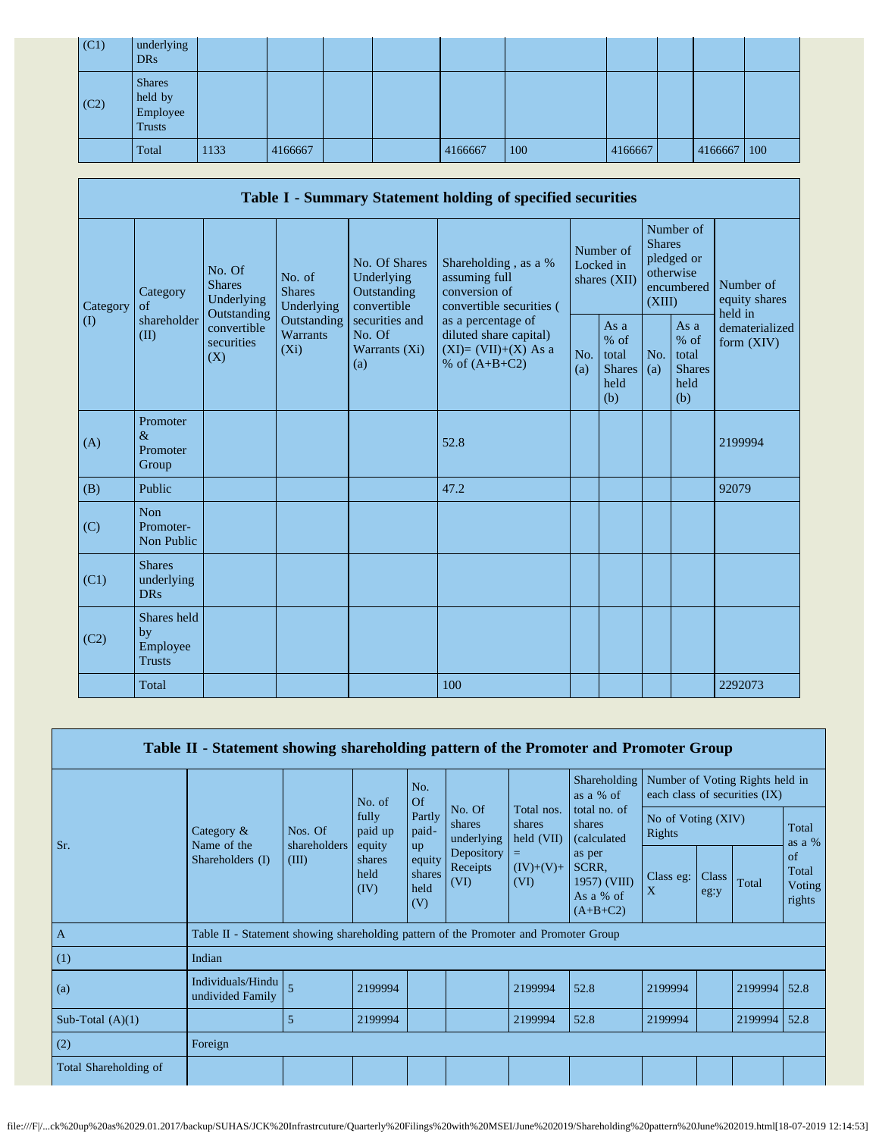| (C1) | underlying<br><b>DRs</b>                              |      |         |  |         |     |         |             |  |
|------|-------------------------------------------------------|------|---------|--|---------|-----|---------|-------------|--|
| (C2) | <b>Shares</b><br>held by<br>Employee<br><b>Trusts</b> |      |         |  |         |     |         |             |  |
|      | Total                                                 | 1133 | 4166667 |  | 4166667 | 100 | 4166667 | 4166667 100 |  |

|          |                                                |                                                                                          |                                                                             |                                                           | Table I - Summary Statement holding of specified securities                              |            |                                                         |                         |                                                         |                                                                         |
|----------|------------------------------------------------|------------------------------------------------------------------------------------------|-----------------------------------------------------------------------------|-----------------------------------------------------------|------------------------------------------------------------------------------------------|------------|---------------------------------------------------------|-------------------------|---------------------------------------------------------|-------------------------------------------------------------------------|
| Category | Category<br>of<br>shareholder<br>(II)          | No. Of<br><b>Shares</b><br>Underlying<br>Outstanding<br>convertible<br>securities<br>(X) | No. of<br><b>Shares</b><br>Underlying<br>Outstanding<br>Warrants<br>$(X_i)$ | No. Of Shares<br>Underlying<br>Outstanding<br>convertible | Shareholding, as a %<br>assuming full<br>conversion of<br>convertible securities (       |            | Number of<br>Locked in<br>shares (XII)                  | <b>Shares</b><br>(XIII) | Number of<br>pledged or<br>otherwise<br>encumbered      | Number of<br>equity shares<br>held in<br>dematerialized<br>form $(XIV)$ |
| $\rm(D)$ |                                                |                                                                                          |                                                                             | securities and<br>No. Of<br>Warrants (Xi)<br>(a)          | as a percentage of<br>diluted share capital)<br>$(XI)=(VII)+(X)$ As a<br>% of $(A+B+C2)$ | No.<br>(a) | As a<br>$%$ of<br>total<br><b>Shares</b><br>held<br>(b) | No.<br>(a)              | As a<br>$%$ of<br>total<br><b>Shares</b><br>held<br>(b) |                                                                         |
| (A)      | Promoter<br>$\&$<br>Promoter<br>Group          |                                                                                          |                                                                             |                                                           | 52.8                                                                                     |            |                                                         |                         |                                                         | 2199994                                                                 |
| (B)      | Public                                         |                                                                                          |                                                                             |                                                           | 47.2                                                                                     |            |                                                         |                         |                                                         | 92079                                                                   |
| (C)      | <b>Non</b><br>Promoter-<br>Non Public          |                                                                                          |                                                                             |                                                           |                                                                                          |            |                                                         |                         |                                                         |                                                                         |
| (C1)     | <b>Shares</b><br>underlying<br><b>DRs</b>      |                                                                                          |                                                                             |                                                           |                                                                                          |            |                                                         |                         |                                                         |                                                                         |
| (C2)     | Shares held<br>by<br>Employee<br><b>Trusts</b> |                                                                                          |                                                                             |                                                           |                                                                                          |            |                                                         |                         |                                                         |                                                                         |
|          | Total                                          |                                                                                          |                                                                             |                                                           | 100                                                                                      |            |                                                         |                         |                                                         | 2292073                                                                 |

| Table II - Statement showing shareholding pattern of the Promoter and Promoter Group |                                                                                      |                                  |                                                                |                                                          |                                                                  |                                                                  |                                                                                                             |                                                                  |               |         |                                 |
|--------------------------------------------------------------------------------------|--------------------------------------------------------------------------------------|----------------------------------|----------------------------------------------------------------|----------------------------------------------------------|------------------------------------------------------------------|------------------------------------------------------------------|-------------------------------------------------------------------------------------------------------------|------------------------------------------------------------------|---------------|---------|---------------------------------|
|                                                                                      |                                                                                      |                                  | No. of<br>fully<br>paid up<br>equity<br>shares<br>held<br>(IV) | No.<br>Of                                                |                                                                  |                                                                  | <b>Shareholding</b><br>as $a \%$ of                                                                         | Number of Voting Rights held in<br>each class of securities (IX) |               |         |                                 |
| Sr.                                                                                  | Category $\&$<br>Name of the<br>Shareholders (I)                                     | Nos. Of<br>shareholders<br>(III) |                                                                | Partly<br>paid-<br>up<br>equity<br>shares<br>held<br>(V) | No. Of<br>shares<br>underlying<br>Depository<br>Receipts<br>(VI) | Total nos.<br>shares<br>held (VII)<br>$=$<br>$(IV)+(V)+$<br>(VI) | total no. of<br>shares<br><i>(calculated)</i><br>as per<br>SCRR.<br>1957) (VIII)<br>As a % of<br>$(A+B+C2)$ | No of Voting (XIV)<br>Rights                                     |               |         | Total<br>as a %                 |
|                                                                                      |                                                                                      |                                  |                                                                |                                                          |                                                                  |                                                                  |                                                                                                             | Class eg:<br>X                                                   | Class<br>eg:y | Total   | of<br>Total<br>Voting<br>rights |
| $\mathbf{A}$                                                                         | Table II - Statement showing shareholding pattern of the Promoter and Promoter Group |                                  |                                                                |                                                          |                                                                  |                                                                  |                                                                                                             |                                                                  |               |         |                                 |
| (1)                                                                                  | Indian                                                                               |                                  |                                                                |                                                          |                                                                  |                                                                  |                                                                                                             |                                                                  |               |         |                                 |
| (a)                                                                                  | Individuals/Hindu<br>undivided Family                                                | $\overline{5}$                   | 2199994                                                        |                                                          |                                                                  | 2199994                                                          | 52.8                                                                                                        | 2199994                                                          |               | 2199994 | 52.8                            |
| Sub-Total $(A)(1)$                                                                   |                                                                                      | 5                                | 2199994                                                        |                                                          |                                                                  | 2199994                                                          | 52.8                                                                                                        | 2199994                                                          |               | 2199994 | 52.8                            |
| (2)                                                                                  | Foreign                                                                              |                                  |                                                                |                                                          |                                                                  |                                                                  |                                                                                                             |                                                                  |               |         |                                 |
| Total Shareholding of                                                                |                                                                                      |                                  |                                                                |                                                          |                                                                  |                                                                  |                                                                                                             |                                                                  |               |         |                                 |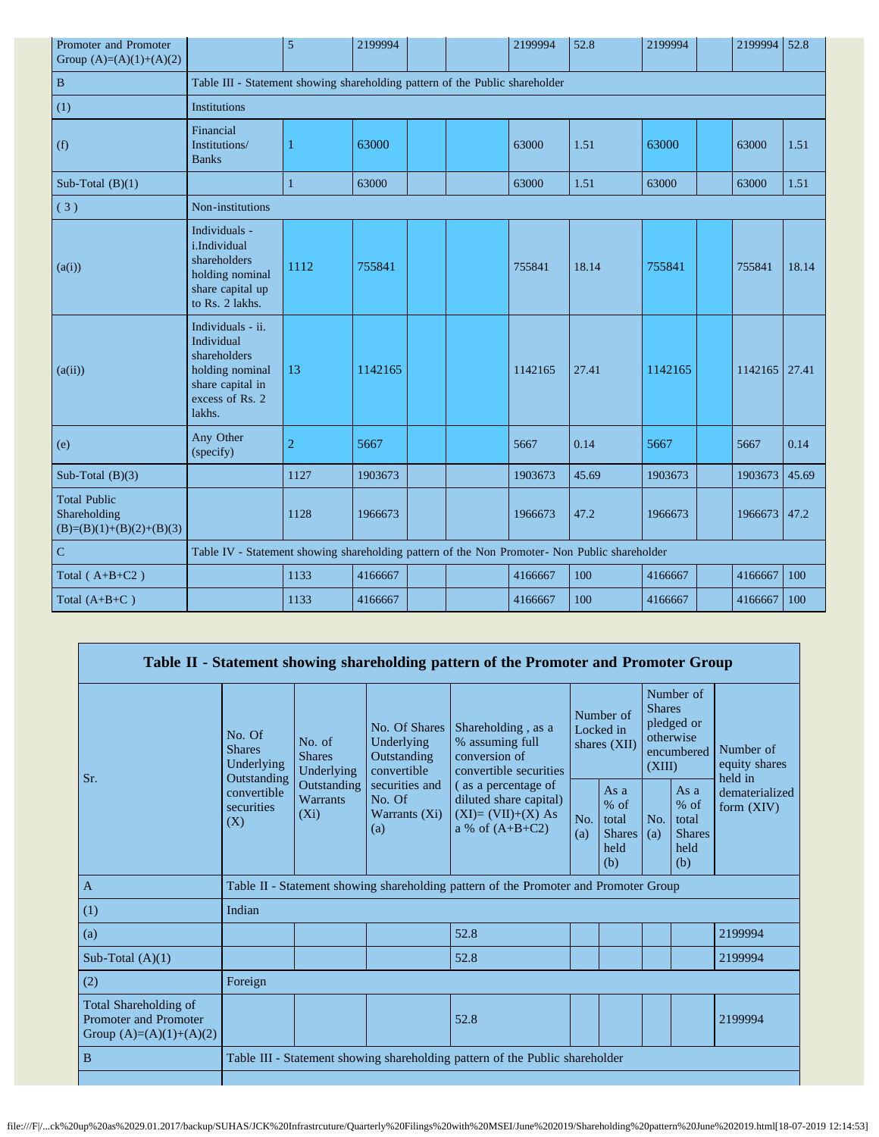| Promoter and Promoter<br>Group $(A)=(A)(1)+(A)(2)$                |                                                                                                                     | 5                                                                                             | 2199994 |  |  | 2199994 | 52.8  | 2199994 |  | 2199994 | 52.8  |
|-------------------------------------------------------------------|---------------------------------------------------------------------------------------------------------------------|-----------------------------------------------------------------------------------------------|---------|--|--|---------|-------|---------|--|---------|-------|
| $\, {\bf B}$                                                      | Table III - Statement showing shareholding pattern of the Public shareholder                                        |                                                                                               |         |  |  |         |       |         |  |         |       |
| (1)                                                               | <b>Institutions</b>                                                                                                 |                                                                                               |         |  |  |         |       |         |  |         |       |
| (f)                                                               | Financial<br>Institutions/<br><b>Banks</b>                                                                          | 1                                                                                             | 63000   |  |  | 63000   | 1.51  | 63000   |  | 63000   | 1.51  |
| Sub-Total $(B)(1)$                                                |                                                                                                                     | $\mathbf{1}$                                                                                  | 63000   |  |  | 63000   | 1.51  | 63000   |  | 63000   | 1.51  |
| (3)                                                               | Non-institutions                                                                                                    |                                                                                               |         |  |  |         |       |         |  |         |       |
| (a(i))                                                            | Individuals -<br>i.Individual<br>shareholders<br>holding nominal<br>share capital up<br>to Rs. 2 lakhs.             | 1112                                                                                          | 755841  |  |  | 755841  | 18.14 | 755841  |  | 755841  | 18.14 |
| (a(ii))                                                           | Individuals - ii.<br>Individual<br>shareholders<br>holding nominal<br>share capital in<br>excess of Rs. 2<br>lakhs. | 13                                                                                            | 1142165 |  |  | 1142165 | 27.41 | 1142165 |  | 1142165 | 27.41 |
| (e)                                                               | Any Other<br>(specify)                                                                                              | $\overline{2}$                                                                                | 5667    |  |  | 5667    | 0.14  | 5667    |  | 5667    | 0.14  |
| Sub-Total $(B)(3)$                                                |                                                                                                                     | 1127                                                                                          | 1903673 |  |  | 1903673 | 45.69 | 1903673 |  | 1903673 | 45.69 |
| <b>Total Public</b><br>Shareholding<br>$(B)=(B)(1)+(B)(2)+(B)(3)$ |                                                                                                                     | 1128                                                                                          | 1966673 |  |  | 1966673 | 47.2  | 1966673 |  | 1966673 | 47.2  |
| $\overline{C}$                                                    |                                                                                                                     | Table IV - Statement showing shareholding pattern of the Non Promoter- Non Public shareholder |         |  |  |         |       |         |  |         |       |
| Total $(A+B+C2)$                                                  |                                                                                                                     | 1133                                                                                          | 4166667 |  |  | 4166667 | 100   | 4166667 |  | 4166667 | 100   |
| Total $(A+B+C)$                                                   |                                                                                                                     | 1133                                                                                          | 4166667 |  |  | 4166667 | 100   | 4166667 |  | 4166667 | 100   |

|                                                                                    |                                                                                          |                                                                              |                                                                                                                                                                                                                                                                                                                                                                                                         | Table II - Statement showing shareholding pattern of the Promoter and Promoter Group |  |                                       |            |                                                         |                                |
|------------------------------------------------------------------------------------|------------------------------------------------------------------------------------------|------------------------------------------------------------------------------|---------------------------------------------------------------------------------------------------------------------------------------------------------------------------------------------------------------------------------------------------------------------------------------------------------------------------------------------------------------------------------------------------------|--------------------------------------------------------------------------------------|--|---------------------------------------|------------|---------------------------------------------------------|--------------------------------|
| Sr.                                                                                | No. Of<br><b>Shares</b><br>Underlying<br>Outstanding<br>convertible<br>securities<br>(X) | No. of<br><b>Shares</b><br>Underlying                                        | Number of<br>No. Of Shares<br>Shareholding, as a<br>Locked in<br>Underlying<br>% assuming full<br>shares $(XII)$<br>conversion of<br>Outstanding<br>convertible<br>convertible securities<br>securities and<br>(as a percentage of<br>As $a$<br>No. Of<br>diluted share capital)<br>$%$ of<br>$(XI)=(VII)+(X) As$<br>Warrants $(X_i)$<br>total<br>No.<br>a % of $(A+B+C2)$<br>(a)<br>(a)<br>held<br>(b) | Number of<br><b>Shares</b><br>pledged or<br>otherwise<br>encumbered<br>(XIII)        |  | Number of<br>equity shares<br>held in |            |                                                         |                                |
|                                                                                    |                                                                                          | Outstanding<br><b>Warrants</b><br>$(X_i)$                                    |                                                                                                                                                                                                                                                                                                                                                                                                         |                                                                                      |  | <b>Shares</b>                         | No.<br>(a) | As a<br>$%$ of<br>total<br><b>Shares</b><br>held<br>(b) | dematerialized<br>form $(XIV)$ |
| $\overline{A}$                                                                     |                                                                                          |                                                                              |                                                                                                                                                                                                                                                                                                                                                                                                         | Table II - Statement showing shareholding pattern of the Promoter and Promoter Group |  |                                       |            |                                                         |                                |
| (1)                                                                                | Indian                                                                                   |                                                                              |                                                                                                                                                                                                                                                                                                                                                                                                         |                                                                                      |  |                                       |            |                                                         |                                |
| (a)                                                                                |                                                                                          |                                                                              |                                                                                                                                                                                                                                                                                                                                                                                                         | 52.8                                                                                 |  |                                       |            |                                                         | 2199994                        |
| Sub-Total $(A)(1)$                                                                 |                                                                                          |                                                                              |                                                                                                                                                                                                                                                                                                                                                                                                         | 52.8                                                                                 |  |                                       |            |                                                         | 2199994                        |
| (2)                                                                                | Foreign                                                                                  |                                                                              |                                                                                                                                                                                                                                                                                                                                                                                                         |                                                                                      |  |                                       |            |                                                         |                                |
| Total Shareholding of<br><b>Promoter and Promoter</b><br>Group $(A)=(A)(1)+(A)(2)$ |                                                                                          |                                                                              |                                                                                                                                                                                                                                                                                                                                                                                                         | 52.8                                                                                 |  |                                       |            |                                                         | 2199994                        |
| B                                                                                  |                                                                                          | Table III - Statement showing shareholding pattern of the Public shareholder |                                                                                                                                                                                                                                                                                                                                                                                                         |                                                                                      |  |                                       |            |                                                         |                                |
|                                                                                    |                                                                                          |                                                                              |                                                                                                                                                                                                                                                                                                                                                                                                         |                                                                                      |  |                                       |            |                                                         |                                |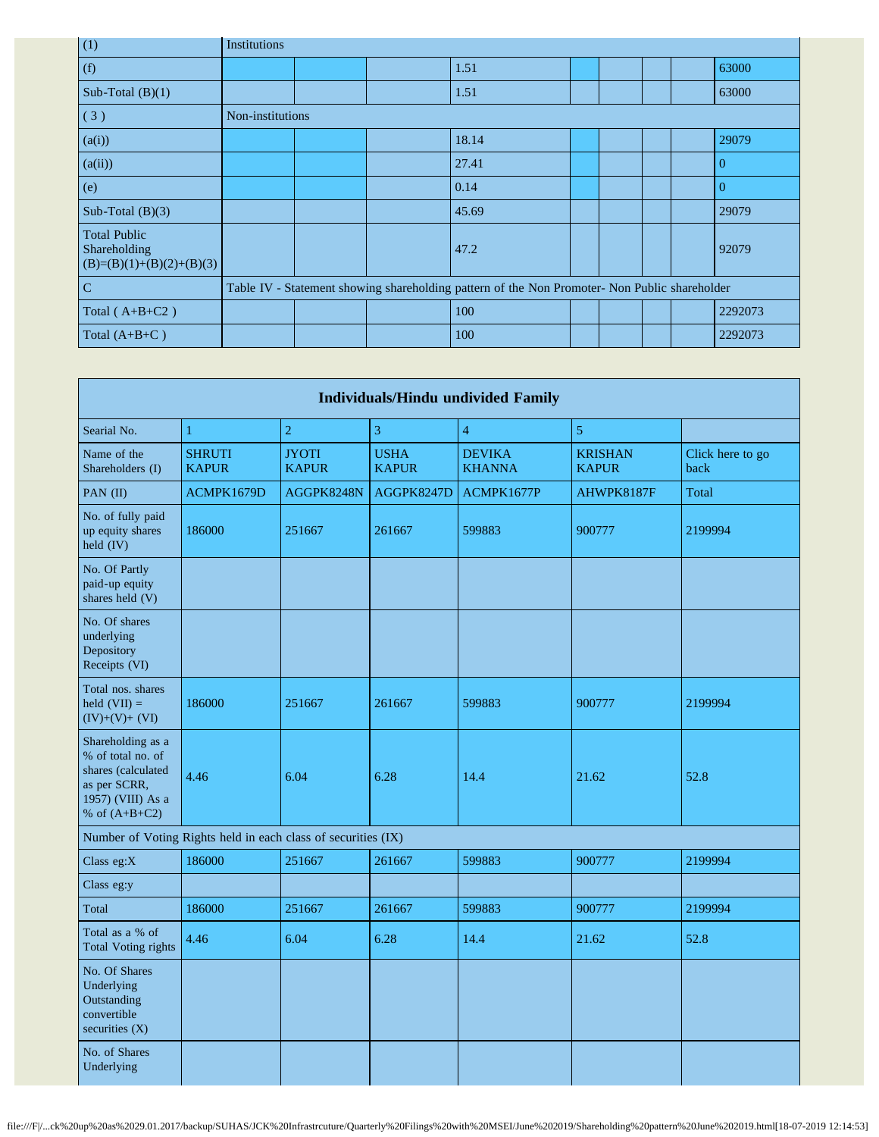| (1)                                                               | Institutions     |  |                                                                                               |  |  |          |
|-------------------------------------------------------------------|------------------|--|-----------------------------------------------------------------------------------------------|--|--|----------|
| (f)                                                               |                  |  | 1.51                                                                                          |  |  | 63000    |
| Sub-Total $(B)(1)$                                                |                  |  | 1.51                                                                                          |  |  | 63000    |
| (3)                                                               | Non-institutions |  |                                                                                               |  |  |          |
| (a(i))                                                            |                  |  | 18.14                                                                                         |  |  | 29079    |
| (a(ii))                                                           |                  |  | 27.41                                                                                         |  |  | $\Omega$ |
| (e)                                                               |                  |  | 0.14                                                                                          |  |  | $\Omega$ |
| Sub-Total $(B)(3)$                                                |                  |  | 45.69                                                                                         |  |  | 29079    |
| <b>Total Public</b><br>Shareholding<br>$(B)=(B)(1)+(B)(2)+(B)(3)$ |                  |  | 47.2                                                                                          |  |  | 92079    |
| $\mathbf C$                                                       |                  |  | Table IV - Statement showing shareholding pattern of the Non Promoter- Non Public shareholder |  |  |          |
| Total $(A+B+C2)$                                                  |                  |  | 100                                                                                           |  |  | 2292073  |
| Total $(A+B+C)$                                                   |                  |  | 100                                                                                           |  |  | 2292073  |

| <b>Individuals/Hindu undivided Family</b>                                                                            |                                                               |                              |                             |                                |                                |                          |  |  |
|----------------------------------------------------------------------------------------------------------------------|---------------------------------------------------------------|------------------------------|-----------------------------|--------------------------------|--------------------------------|--------------------------|--|--|
| Searial No.                                                                                                          | $\mathbf{1}$                                                  | $\mathbf 2$                  | 3                           | 4                              | $\sqrt{5}$                     |                          |  |  |
| Name of the<br>Shareholders (I)                                                                                      | <b>SHRUTI</b><br><b>KAPUR</b>                                 | <b>JYOTI</b><br><b>KAPUR</b> | <b>USHA</b><br><b>KAPUR</b> | <b>DEVIKA</b><br><b>KHANNA</b> | <b>KRISHAN</b><br><b>KAPUR</b> | Click here to go<br>back |  |  |
| PAN (II)                                                                                                             | ACMPK1679D                                                    | AGGPK8248N                   | AGGPK8247D                  | ACMPK1677P                     | AHWPK8187F                     | Total                    |  |  |
| No. of fully paid<br>up equity shares<br>held (IV)                                                                   | 186000                                                        | 251667                       | 261667                      | 599883                         | 900777                         | 2199994                  |  |  |
| No. Of Partly<br>paid-up equity<br>shares held (V)                                                                   |                                                               |                              |                             |                                |                                |                          |  |  |
| No. Of shares<br>underlying<br>Depository<br>Receipts (VI)                                                           |                                                               |                              |                             |                                |                                |                          |  |  |
| Total nos. shares<br>held $(VII) =$<br>$(IV)+(V)+(VI)$                                                               | 186000                                                        | 251667                       | 261667                      | 599883                         | 900777                         | 2199994                  |  |  |
| Shareholding as a<br>% of total no. of<br>shares (calculated<br>as per SCRR,<br>1957) (VIII) As a<br>% of $(A+B+C2)$ | 4.46                                                          | 6.04                         | 6.28                        | 14.4                           | 21.62                          | 52.8                     |  |  |
|                                                                                                                      | Number of Voting Rights held in each class of securities (IX) |                              |                             |                                |                                |                          |  |  |
| Class eg:X                                                                                                           | 186000                                                        | 251667                       | 261667                      | 599883                         | 900777                         | 2199994                  |  |  |
| Class eg:y                                                                                                           |                                                               |                              |                             |                                |                                |                          |  |  |
| Total                                                                                                                | 186000                                                        | 251667                       | 261667                      | 599883                         | 900777                         | 2199994                  |  |  |
| Total as a % of<br><b>Total Voting rights</b>                                                                        | 4.46                                                          | 6.04                         | 6.28                        | 14.4                           | 21.62                          | 52.8                     |  |  |
| No. Of Shares<br>Underlying<br>Outstanding<br>convertible<br>securities $(X)$                                        |                                                               |                              |                             |                                |                                |                          |  |  |
| No. of Shares<br>Underlying                                                                                          |                                                               |                              |                             |                                |                                |                          |  |  |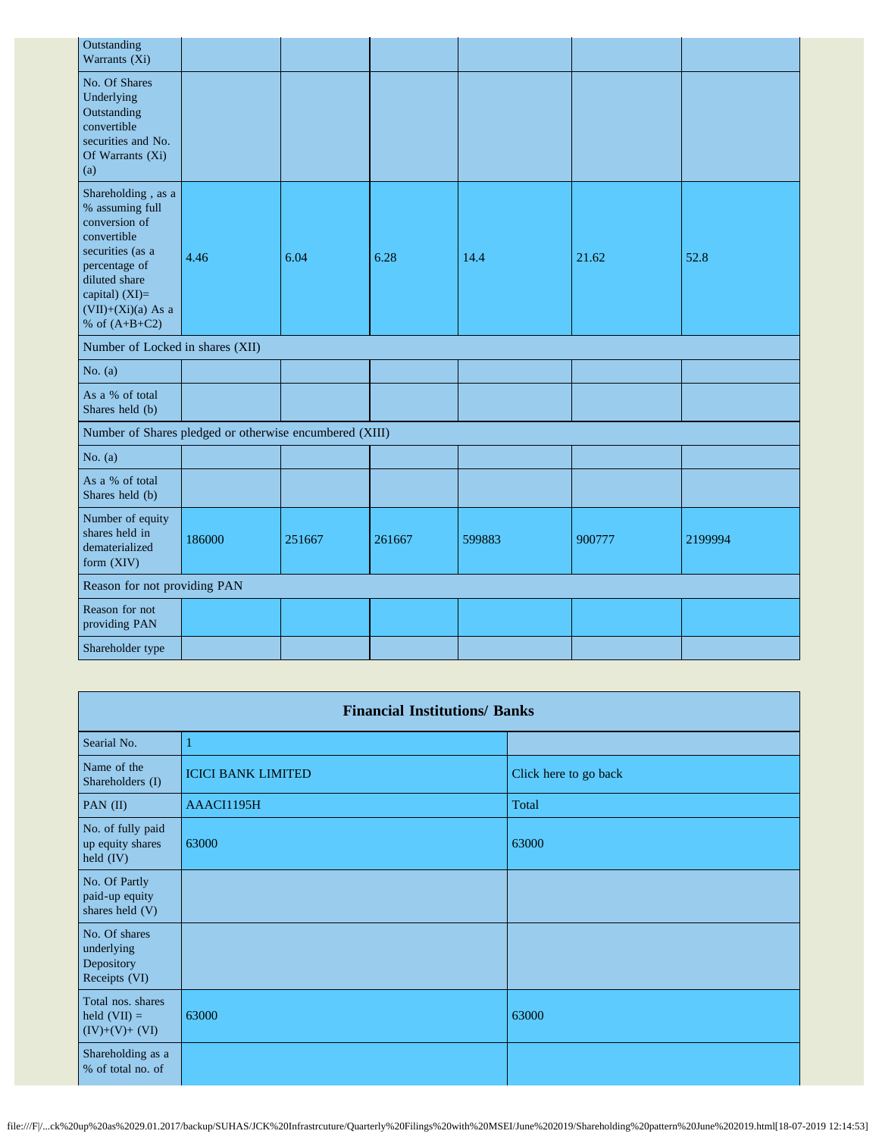| Outstanding<br>Warrants (Xi)                                                                                                                                                             |        |        |        |        |        |         |
|------------------------------------------------------------------------------------------------------------------------------------------------------------------------------------------|--------|--------|--------|--------|--------|---------|
| No. Of Shares<br>Underlying<br>Outstanding<br>convertible<br>securities and No.<br>Of Warrants (Xi)<br>(a)                                                                               |        |        |        |        |        |         |
| Shareholding, as a<br>% assuming full<br>conversion of<br>convertible<br>securities (as a<br>percentage of<br>diluted share<br>capital) (XI)=<br>$(VII)+(Xi)(a)$ As a<br>% of $(A+B+C2)$ | 4.46   | 6.04   | 6.28   | 14.4   | 21.62  | 52.8    |
| Number of Locked in shares (XII)                                                                                                                                                         |        |        |        |        |        |         |
| No. $(a)$                                                                                                                                                                                |        |        |        |        |        |         |
| As a % of total<br>Shares held (b)                                                                                                                                                       |        |        |        |        |        |         |
| Number of Shares pledged or otherwise encumbered (XIII)                                                                                                                                  |        |        |        |        |        |         |
| No. $(a)$                                                                                                                                                                                |        |        |        |        |        |         |
| As a % of total<br>Shares held (b)                                                                                                                                                       |        |        |        |        |        |         |
| Number of equity<br>shares held in<br>dematerialized<br>form (XIV)                                                                                                                       | 186000 | 251667 | 261667 | 599883 | 900777 | 2199994 |
| Reason for not providing PAN                                                                                                                                                             |        |        |        |        |        |         |
| Reason for not<br>providing PAN                                                                                                                                                          |        |        |        |        |        |         |
| Shareholder type                                                                                                                                                                         |        |        |        |        |        |         |

|                                                            | <b>Financial Institutions/ Banks</b> |                       |  |  |  |  |  |  |  |
|------------------------------------------------------------|--------------------------------------|-----------------------|--|--|--|--|--|--|--|
| Searial No.                                                |                                      |                       |  |  |  |  |  |  |  |
| Name of the<br>Shareholders (I)                            | <b>ICICI BANK LIMITED</b>            | Click here to go back |  |  |  |  |  |  |  |
| PAN (II)                                                   | AAACI1195H                           | Total                 |  |  |  |  |  |  |  |
| No. of fully paid<br>up equity shares<br>held $(IV)$       | 63000                                | 63000                 |  |  |  |  |  |  |  |
| No. Of Partly<br>paid-up equity<br>shares held (V)         |                                      |                       |  |  |  |  |  |  |  |
| No. Of shares<br>underlying<br>Depository<br>Receipts (VI) |                                      |                       |  |  |  |  |  |  |  |
| Total nos. shares<br>held $(VII) =$<br>$(IV)+(V)+(VI)$     | 63000                                | 63000                 |  |  |  |  |  |  |  |
| Shareholding as a<br>% of total no. of                     |                                      |                       |  |  |  |  |  |  |  |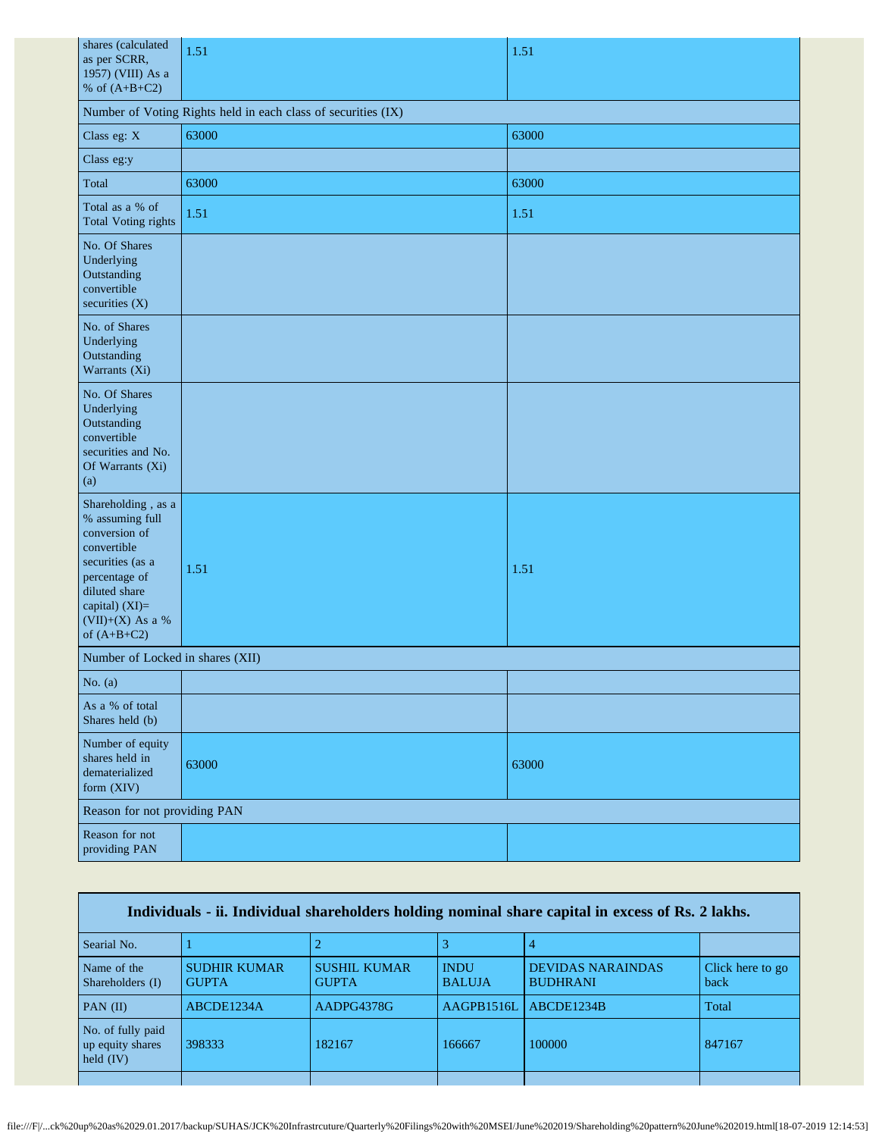| shares (calculated<br>as per SCRR,<br>1957) (VIII) As a<br>% of $(A+B+C2)$                                                                                                         | 1.51  | 1.51  |  |
|------------------------------------------------------------------------------------------------------------------------------------------------------------------------------------|-------|-------|--|
| Number of Voting Rights held in each class of securities (IX)                                                                                                                      |       |       |  |
| Class eg: X                                                                                                                                                                        | 63000 | 63000 |  |
| Class eg:y                                                                                                                                                                         |       |       |  |
| Total                                                                                                                                                                              | 63000 | 63000 |  |
| Total as a % of<br><b>Total Voting rights</b>                                                                                                                                      | 1.51  | 1.51  |  |
| No. Of Shares<br>Underlying<br>Outstanding<br>convertible<br>securities (X)                                                                                                        |       |       |  |
| No. of Shares<br>Underlying<br>Outstanding<br>Warrants (Xi)                                                                                                                        |       |       |  |
| No. Of Shares<br>Underlying<br>Outstanding<br>convertible<br>securities and No.<br>Of Warrants (Xi)<br>(a)                                                                         |       |       |  |
| Shareholding, as a<br>% assuming full<br>conversion of<br>convertible<br>securities (as a<br>percentage of<br>diluted share<br>capital) (XI)=<br>(VII)+(X) As a %<br>of $(A+B+C2)$ | 1.51  | 1.51  |  |
| Number of Locked in shares (XII)                                                                                                                                                   |       |       |  |
| No. (a)                                                                                                                                                                            |       |       |  |
| As a % of total<br>Shares held (b)                                                                                                                                                 |       |       |  |
| Number of equity<br>shares held in<br>dematerialized<br>form (XIV)                                                                                                                 | 63000 | 63000 |  |
| Reason for not providing PAN                                                                                                                                                       |       |       |  |
| Reason for not<br>providing PAN                                                                                                                                                    |       |       |  |

| Individuals - ii. Individual shareholders holding nominal share capital in excess of Rs. 2 lakhs. |                                     |                                     |                              |                                             |                          |
|---------------------------------------------------------------------------------------------------|-------------------------------------|-------------------------------------|------------------------------|---------------------------------------------|--------------------------|
| Searial No.                                                                                       |                                     |                                     |                              |                                             |                          |
| Name of the<br>Shareholders (I)                                                                   | <b>SUDHIR KUMAR</b><br><b>GUPTA</b> | <b>SUSHIL KUMAR</b><br><b>GUPTA</b> | <b>INDU</b><br><b>BALUJA</b> | <b>DEVIDAS NARAINDAS</b><br><b>BUDHRANI</b> | Click here to go<br>back |
| PAN $(II)$                                                                                        | ABCDE1234A                          | AADPG4378G                          | AAGPB1516L                   | ABCDE1234B                                  | Total                    |
| No. of fully paid<br>up equity shares<br>held $(IV)$                                              | 398333                              | 182167                              | 166667                       | 100000                                      | 847167                   |
|                                                                                                   |                                     |                                     |                              |                                             |                          |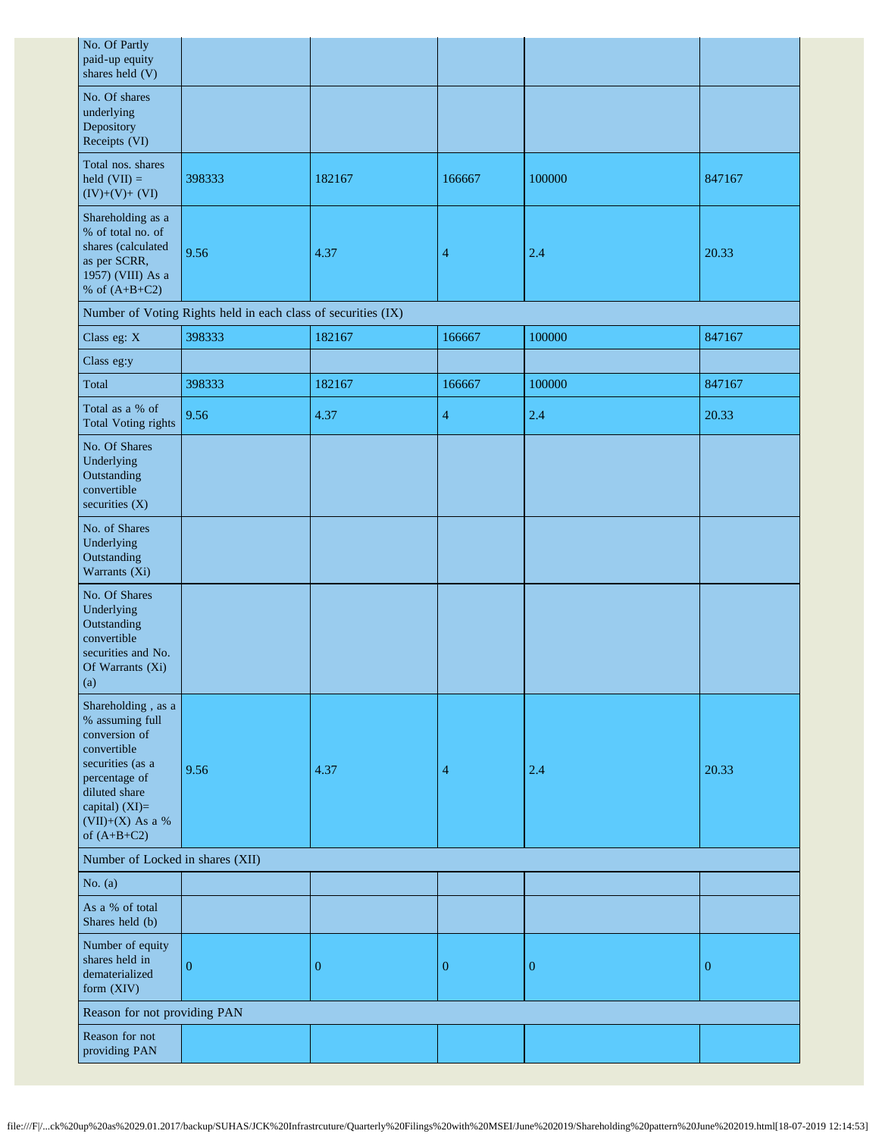| No. Of Partly<br>paid-up equity<br>shares held (V)                                                                                                                                   |                                                               |                  |                  |                  |                  |
|--------------------------------------------------------------------------------------------------------------------------------------------------------------------------------------|---------------------------------------------------------------|------------------|------------------|------------------|------------------|
| No. Of shares<br>underlying<br>Depository<br>Receipts (VI)                                                                                                                           |                                                               |                  |                  |                  |                  |
| Total nos. shares<br>held $(VII) =$<br>$(IV)+(V)+(VI)$                                                                                                                               | 398333                                                        | 182167           | 166667           | 100000           | 847167           |
| Shareholding as a<br>% of total no. of<br>shares (calculated<br>as per SCRR,<br>1957) (VIII) As a<br>% of $(A+B+C2)$                                                                 | 9.56                                                          | 4.37             | 4                | 2.4              | 20.33            |
|                                                                                                                                                                                      | Number of Voting Rights held in each class of securities (IX) |                  |                  |                  |                  |
| Class eg: X                                                                                                                                                                          | 398333                                                        | 182167           | 166667           | 100000           | 847167           |
| Class eg:y                                                                                                                                                                           |                                                               |                  |                  |                  |                  |
| Total                                                                                                                                                                                | 398333                                                        | 182167           | 166667           | 100000           | 847167           |
| Total as a % of<br><b>Total Voting rights</b>                                                                                                                                        | 9.56                                                          | 4.37             | 4                | 2.4              | 20.33            |
| No. Of Shares<br>Underlying<br>Outstanding<br>convertible<br>securities (X)                                                                                                          |                                                               |                  |                  |                  |                  |
| No. of Shares<br>Underlying<br>Outstanding<br>Warrants (Xi)                                                                                                                          |                                                               |                  |                  |                  |                  |
| No. Of Shares<br>Underlying<br>Outstanding<br>convertible<br>securities and No.<br>Of Warrants (Xi)<br>(a)                                                                           |                                                               |                  |                  |                  |                  |
| Shareholding, as a<br>% assuming full<br>conversion of<br>convertible<br>securities (as a<br>percentage of<br>diluted share<br>capital) (XI)=<br>$(VII)+(X)$ As a %<br>of $(A+B+C2)$ | 9.56                                                          | 4.37             | 4                | 2.4              | 20.33            |
| Number of Locked in shares (XII)                                                                                                                                                     |                                                               |                  |                  |                  |                  |
| No. $(a)$                                                                                                                                                                            |                                                               |                  |                  |                  |                  |
| As a % of total<br>Shares held (b)                                                                                                                                                   |                                                               |                  |                  |                  |                  |
| Number of equity<br>shares held in<br>dematerialized<br>form (XIV)                                                                                                                   | $\overline{0}$                                                | $\boldsymbol{0}$ | $\boldsymbol{0}$ | $\boldsymbol{0}$ | $\boldsymbol{0}$ |
| Reason for not providing PAN                                                                                                                                                         |                                                               |                  |                  |                  |                  |
| Reason for not<br>providing PAN                                                                                                                                                      |                                                               |                  |                  |                  |                  |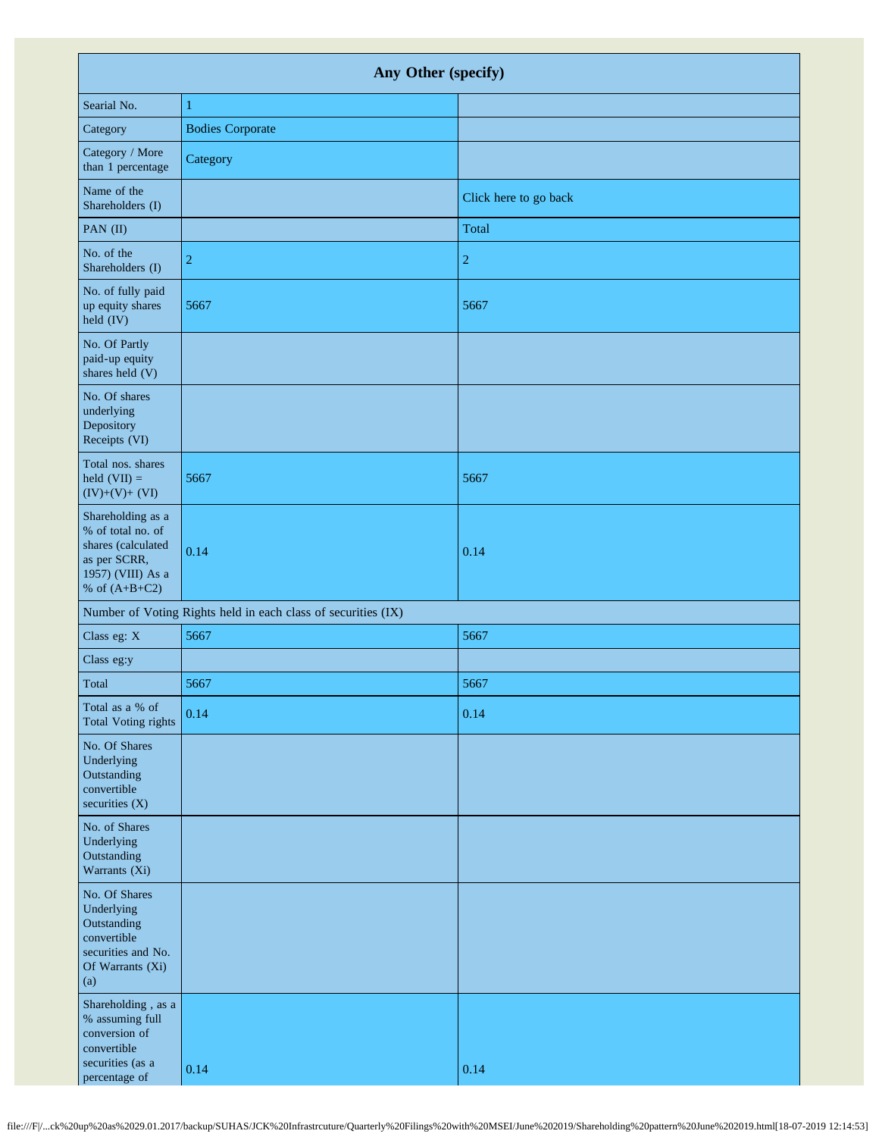| Any Other (specify)                                                                                                  |                                                               |                       |
|----------------------------------------------------------------------------------------------------------------------|---------------------------------------------------------------|-----------------------|
| Searial No.                                                                                                          | $\mathbf{1}$                                                  |                       |
| Category                                                                                                             | <b>Bodies Corporate</b>                                       |                       |
| Category / More<br>than 1 percentage                                                                                 | Category                                                      |                       |
| Name of the<br>Shareholders (I)                                                                                      |                                                               | Click here to go back |
| PAN (II)                                                                                                             |                                                               | Total                 |
| No. of the<br>Shareholders (I)                                                                                       | $\overline{2}$                                                | $\overline{c}$        |
| No. of fully paid<br>up equity shares<br>held (IV)                                                                   | 5667                                                          | 5667                  |
| No. Of Partly<br>paid-up equity<br>shares held (V)                                                                   |                                                               |                       |
| No. Of shares<br>underlying<br>Depository<br>Receipts (VI)                                                           |                                                               |                       |
| Total nos. shares<br>held $(VII) =$<br>$(IV)+(V)+(VI)$                                                               | 5667                                                          | 5667                  |
| Shareholding as a<br>% of total no. of<br>shares (calculated<br>as per SCRR,<br>1957) (VIII) As a<br>% of $(A+B+C2)$ | 0.14                                                          | 0.14                  |
|                                                                                                                      | Number of Voting Rights held in each class of securities (IX) |                       |
| Class eg: X                                                                                                          | 5667                                                          | 5667                  |
| Class eg:y                                                                                                           |                                                               |                       |
| Total                                                                                                                | 5667                                                          | 5667                  |
| Total as a % of<br><b>Total Voting rights</b>                                                                        | 0.14                                                          | 0.14                  |
| No. Of Shares<br>Underlying<br>Outstanding<br>convertible<br>securities $(X)$                                        |                                                               |                       |
| No. of Shares<br>Underlying<br>Outstanding<br>Warrants (Xi)                                                          |                                                               |                       |
| No. Of Shares<br>Underlying<br>Outstanding<br>convertible<br>securities and No.<br>Of Warrants (Xi)<br>(a)           |                                                               |                       |
| Shareholding, as a<br>% assuming full<br>conversion of<br>convertible<br>securities (as a<br>percentage of           | 0.14                                                          | 0.14                  |